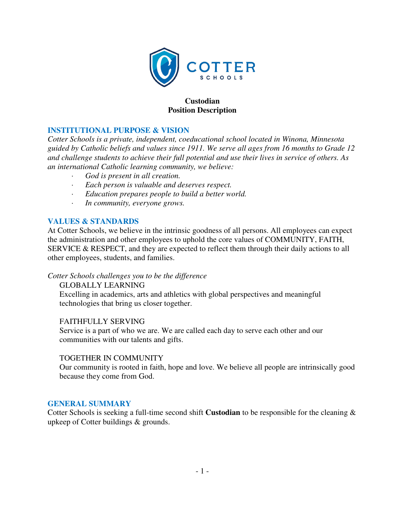

### **Custodian Position Description**

### **INSTITUTIONAL PURPOSE & VISION**

*Cotter Schools is a private, independent, coeducational school located in Winona, Minnesota guided by Catholic beliefs and values since 1911. We serve all ages from 16 months to Grade 12 and challenge students to achieve their full potential and use their lives in service of others. As an international Catholic learning community, we believe:* 

- *· God is present in all creation.*
- *· Each person is valuable and deserves respect.*
- *· Education prepares people to build a better world.*
- *· In community, everyone grows.*

### **VALUES & STANDARDS**

At Cotter Schools, we believe in the intrinsic goodness of all persons. All employees can expect the administration and other employees to uphold the core values of COMMUNITY, FAITH, SERVICE & RESPECT, and they are expected to reflect them through their daily actions to all other employees, students, and families.

*Cotter Schools challenges you to be the difference* 

GLOBALLY LEARNING Excelling in academics, arts and athletics with global perspectives and meaningful technologies that bring us closer together.

### FAITHFULLY SERVING

Service is a part of who we are. We are called each day to serve each other and our communities with our talents and gifts.

#### TOGETHER IN COMMUNITY

Our community is rooted in faith, hope and love. We believe all people are intrinsically good because they come from God.

### **GENERAL SUMMARY**

Cotter Schools is seeking a full-time second shift **Custodian** to be responsible for the cleaning & upkeep of Cotter buildings & grounds.